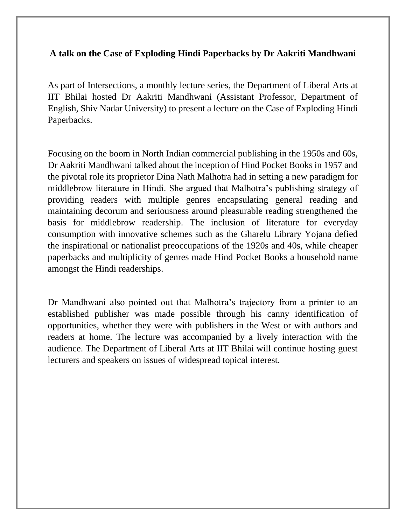## **A talk on the Case of Exploding Hindi Paperbacks by Dr Aakriti Mandhwani**

As part of Intersections, a monthly lecture series, the Department of Liberal Arts at IIT Bhilai hosted Dr Aakriti Mandhwani (Assistant Professor, Department of English, Shiv Nadar University) to present a lecture on the Case of Exploding Hindi Paperbacks.

Focusing on the boom in North Indian commercial publishing in the 1950s and 60s, Dr Aakriti Mandhwani talked about the inception of Hind Pocket Books in 1957 and the pivotal role its proprietor Dina Nath Malhotra had in setting a new paradigm for middlebrow literature in Hindi. She argued that Malhotra's publishing strategy of providing readers with multiple genres encapsulating general reading and maintaining decorum and seriousness around pleasurable reading strengthened the basis for middlebrow readership. The inclusion of literature for everyday consumption with innovative schemes such as the Gharelu Library Yojana defied the inspirational or nationalist preoccupations of the 1920s and 40s, while cheaper paperbacks and multiplicity of genres made Hind Pocket Books a household name amongst the Hindi readerships.

Dr Mandhwani also pointed out that Malhotra's trajectory from a printer to an established publisher was made possible through his canny identification of opportunities, whether they were with publishers in the West or with authors and readers at home. The lecture was accompanied by a lively interaction with the audience. The Department of Liberal Arts at IIT Bhilai will continue hosting guest lecturers and speakers on issues of widespread topical interest.